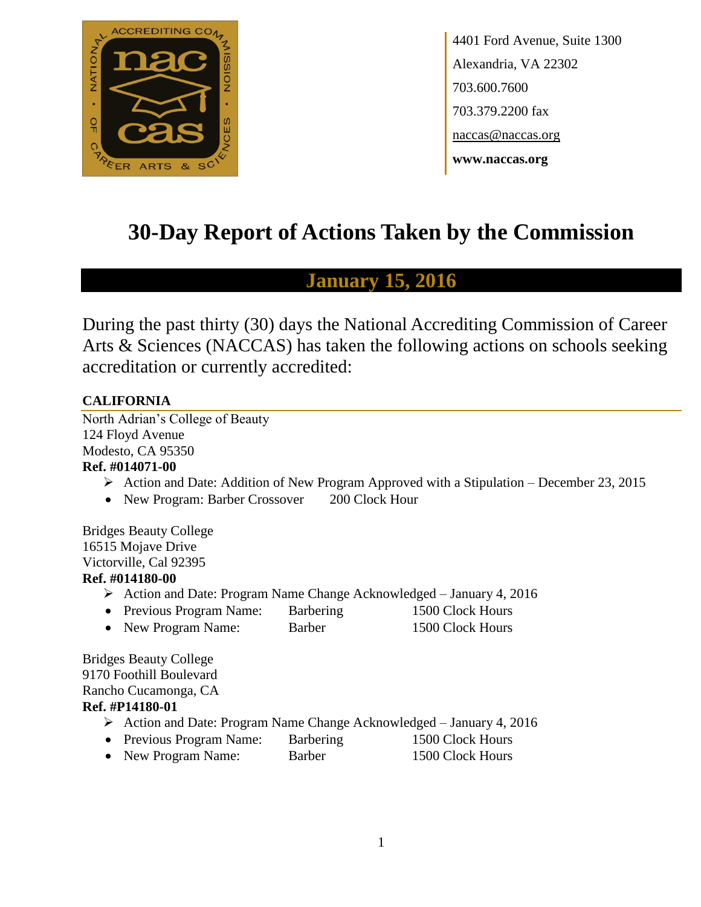

4401 Ford Avenue, Suite 1300 Alexandria, VA 22302 703.600.7600 703.379.2200 fax naccas@naccas.org **www.naccas.org**

# **30-Day Report of Actions Taken by the Commission**

## **January 15, 2016**

During the past thirty (30) days the National Accrediting Commission of Career Arts & Sciences (NACCAS) has taken the following actions on schools seeking accreditation or currently accredited:

## **CALIFORNIA**

North Adrian's College of Beauty 124 Floyd Avenue Modesto, CA 95350 **Ref. #014071-00**

- $\triangleright$  Action and Date: Addition of New Program Approved with a Stipulation December 23, 2015
- New Program: Barber Crossover 200 Clock Hour

Bridges Beauty College 16515 Mojave Drive Victorville, Cal 92395 **Ref. #014180-00**

- Action and Date: Program Name Change Acknowledged January 4, 2016
- Previous Program Name: Barbering 1500 Clock Hours
- New Program Name: Barber 1500 Clock Hours

Bridges Beauty College 9170 Foothill Boulevard Rancho Cucamonga, CA **Ref. #P14180-01**

- Action and Date: Program Name Change Acknowledged January 4, 2016
- Previous Program Name: Barbering 1500 Clock Hours
- New Program Name: Barber 1500 Clock Hours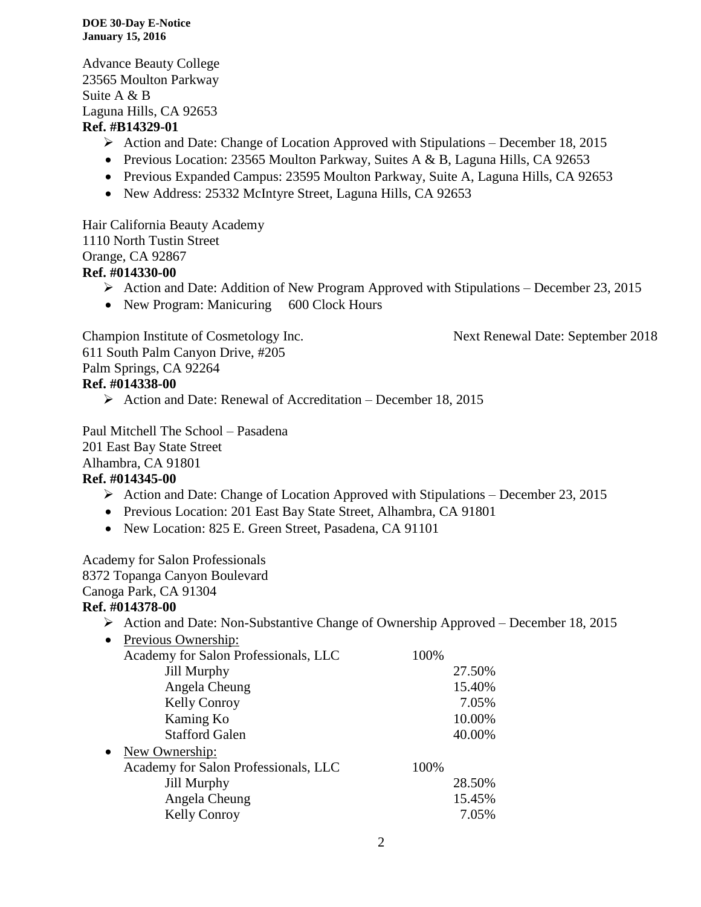#### **DOE 30-Day E-Notice January 15, 2016**

Advance Beauty College 23565 Moulton Parkway Suite A & B Laguna Hills, CA 92653 **Ref. #B14329-01**

- Action and Date: Change of Location Approved with Stipulations December 18, 2015
- Previous Location: 23565 Moulton Parkway, Suites A & B, Laguna Hills, CA 92653
- Previous Expanded Campus: 23595 Moulton Parkway, Suite A, Laguna Hills, CA 92653
- New Address: 25332 McIntyre Street, Laguna Hills, CA 92653

Hair California Beauty Academy 1110 North Tustin Street Orange, CA 92867

### **Ref. #014330-00**

- $\triangleright$  Action and Date: Addition of New Program Approved with Stipulations December 23, 2015
- New Program: Manicuring 600 Clock Hours

Champion Institute of Cosmetology Inc. Next Renewal Date: September 2018

611 South Palm Canyon Drive, #205 Palm Springs, CA 92264 **Ref. #014338-00**

 $\triangleright$  Action and Date: Renewal of Accreditation – December 18, 2015

Paul Mitchell The School – Pasadena 201 East Bay State Street Alhambra, CA 91801

## **Ref. #014345-00**

- $\triangleright$  Action and Date: Change of Location Approved with Stipulations December 23, 2015
- Previous Location: 201 East Bay State Street, Alhambra, CA 91801
- New Location: 825 E. Green Street, Pasadena, CA 91101

Academy for Salon Professionals

8372 Topanga Canyon Boulevard

## Canoga Park, CA 91304

## **Ref. #014378-00**

 $\triangleright$  Action and Date: Non-Substantive Change of Ownership Approved – December 18, 2015

| $\bullet$ | Previous Ownership:                  |      |        |
|-----------|--------------------------------------|------|--------|
|           | Academy for Salon Professionals, LLC | 100% |        |
|           | Jill Murphy                          |      | 27.50% |
|           | Angela Cheung                        |      | 15.40% |
|           | <b>Kelly Conroy</b>                  |      | 7.05%  |
|           | Kaming Ko                            |      | 10.00% |
|           | <b>Stafford Galen</b>                |      | 40.00% |
| $\bullet$ | New Ownership:                       |      |        |
|           | Academy for Salon Professionals, LLC | 100% |        |
|           | Jill Murphy                          |      | 28.50% |
|           | Angela Cheung                        |      | 15.45% |
|           | <b>Kelly Conroy</b>                  |      | 7.05%  |
|           |                                      |      |        |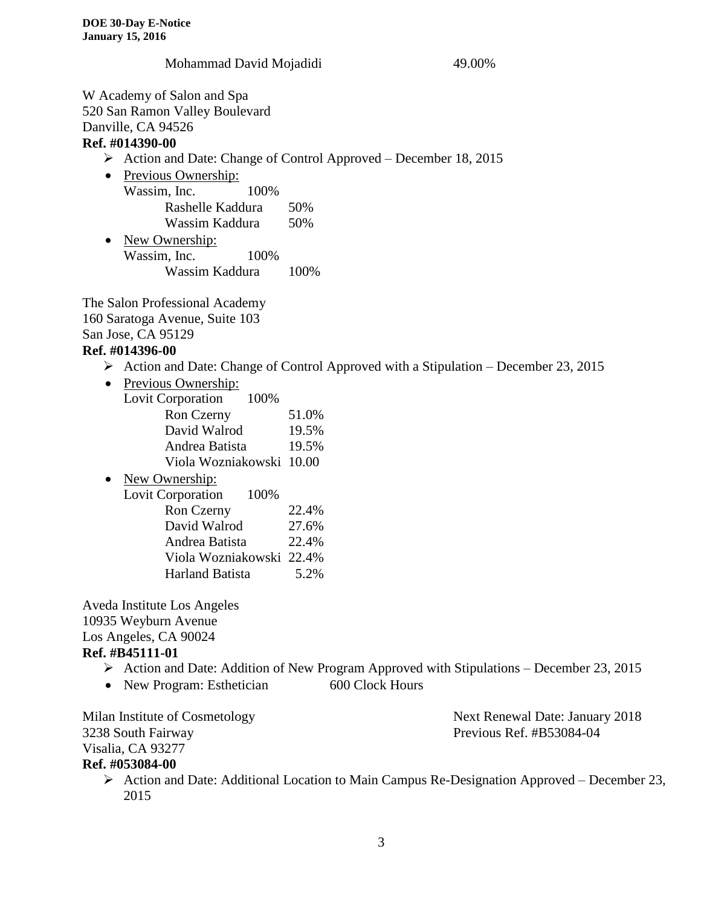#### Mohammad David Mojadidi 49.00%

W Academy of Salon and Spa 520 San Ramon Valley Boulevard Danville, CA 94526

#### **Ref. #014390-00**

- $\triangleright$  Action and Date: Change of Control Approved December 18, 2015
- Previous Ownership: Wassim, Inc. 100% Rashelle Kaddura 50% Wassim Kaddura 50%
- New Ownership: Wassim, Inc. 100% Wassim Kaddura 100%

The Salon Professional Academy 160 Saratoga Avenue, Suite 103 San Jose, CA 95129

#### **Ref. #014396-00**

- $\triangleright$  Action and Date: Change of Control Approved with a Stipulation December 23, 2015
- Previous Ownership:
	- Lovit Corporation 100%

| Ron Czerny               | 51.0% |
|--------------------------|-------|
| David Walrod             | 19.5% |
| Andrea Batista           | 19.5% |
| Viola Wozniakowski 10.00 |       |

• New Ownership: Lovit Corporation 100% Ron Czerny 22.4% David Walrod 27.6% Andrea Batista 22.4% Viola Wozniakowski 22.4% Harland Batista 5.2%

Aveda Institute Los Angeles 10935 Weyburn Avenue Los Angeles, CA 90024 **Ref. #B45111-01**

- $\triangleright$  Action and Date: Addition of New Program Approved with Stipulations December 23, 2015
- New Program: Esthetician 600 Clock Hours

3238 South Fairway Previous Ref. #B53084-04 Visalia, CA 93277

Milan Institute of Cosmetology Next Renewal Date: January 2018

## **Ref. #053084-00**

 $\triangleright$  Action and Date: Additional Location to Main Campus Re-Designation Approved – December 23, 2015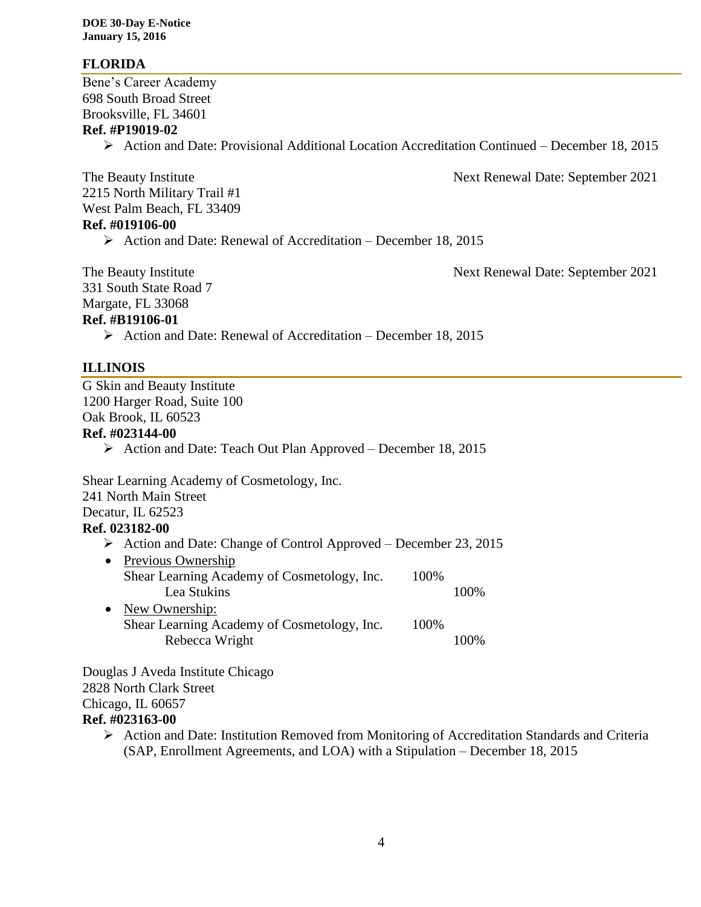### **FLORIDA**

Bene's Career Academy 698 South Broad Street Brooksville, FL 34601

### **Ref. #P19019-02**

Action and Date: Provisional Additional Location Accreditation Continued – December 18, 2015

The Beauty Institute Next Renewal Date: September 2021 2215 North Military Trail #1 West Palm Beach, FL 33409 **Ref. #019106-00**  $\triangleright$  Action and Date: Renewal of Accreditation – December 18, 2015

The Beauty Institute Next Renewal Date: September 2021

331 South State Road 7

Margate, FL 33068

#### **Ref. #B19106-01**

 $\triangleright$  Action and Date: Renewal of Accreditation – December 18, 2015

#### **ILLINOIS**

G Skin and Beauty Institute 1200 Harger Road, Suite 100 Oak Brook, IL 60523

#### **Ref. #023144-00**

 $\triangleright$  Action and Date: Teach Out Plan Approved – December 18, 2015

Shear Learning Academy of Cosmetology, Inc. 241 North Main Street Decatur, IL 62523 **Ref. 023182-00**  $\triangleright$  Action and Date: Change of Control Approved – December 23, 2015

- Previous Ownership Shear Learning Academy of Cosmetology, Inc. 100% Lea Stukins 100% • New Ownership:
	- Shear Learning Academy of Cosmetology, Inc. 100% Rebecca Wright 100%

Douglas J Aveda Institute Chicago 2828 North Clark Street Chicago, IL 60657 **Ref. #023163-00**

> Action and Date: Institution Removed from Monitoring of Accreditation Standards and Criteria (SAP, Enrollment Agreements, and LOA) with a Stipulation – December 18, 2015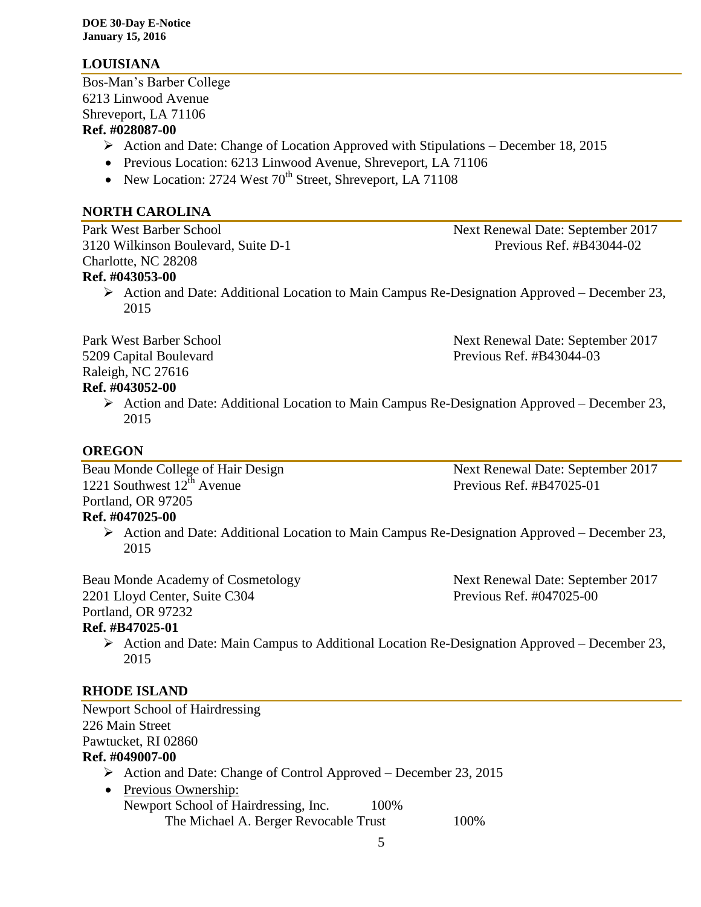## **LOUISIANA**

Bos-Man's Barber College 6213 Linwood Avenue Shreveport, LA 71106 **Ref. #028087-00**

- $\triangleright$  Action and Date: Change of Location Approved with Stipulations December 18, 2015
- Previous Location: 6213 Linwood Avenue, Shreveport, LA 71106
- New Location: 2724 West  $70^{th}$  Street, Shreveport, LA 71108

## **NORTH CAROLINA**

Park West Barber School Next Renewal Date: September 2017 3120 Wilkinson Boulevard, Suite D-1 Previous Ref. #B43044-02 Charlotte, NC 28208 **Ref. #043053-00**

Action and Date: Additional Location to Main Campus Re-Designation Approved – December 23, 2015

Park West Barber School Next Renewal Date: September 2017 5209 Capital Boulevard Previous Ref. #B43044-03 Raleigh, NC 27616

#### **Ref. #043052-00**

 $\triangleright$  Action and Date: Additional Location to Main Campus Re-Designation Approved – December 23, 2015

## **OREGON**

Beau Monde College of Hair Design Next Renewal Date: September 2017 1221 Southwest  $12^{th}$  Avenue Previous Ref. #B47025-01 Portland, OR 97205

#### **Ref. #047025-00**

 $\triangleright$  Action and Date: Additional Location to Main Campus Re-Designation Approved – December 23, 2015

Beau Monde Academy of Cosmetology Next Renewal Date: September 2017 2201 Lloyd Center, Suite C304 Previous Ref. #047025-00 Portland, OR 97232 **Ref. #B47025-01**

 $\triangleright$  Action and Date: Main Campus to Additional Location Re-Designation Approved – December 23, 2015

## **RHODE ISLAND**

Newport School of Hairdressing 226 Main Street Pawtucket, RI 02860 **Ref. #049007-00**

- $\triangleright$  Action and Date: Change of Control Approved December 23, 2015
- Previous Ownership: Newport School of Hairdressing, Inc. 100% The Michael A. Berger Revocable Trust 100%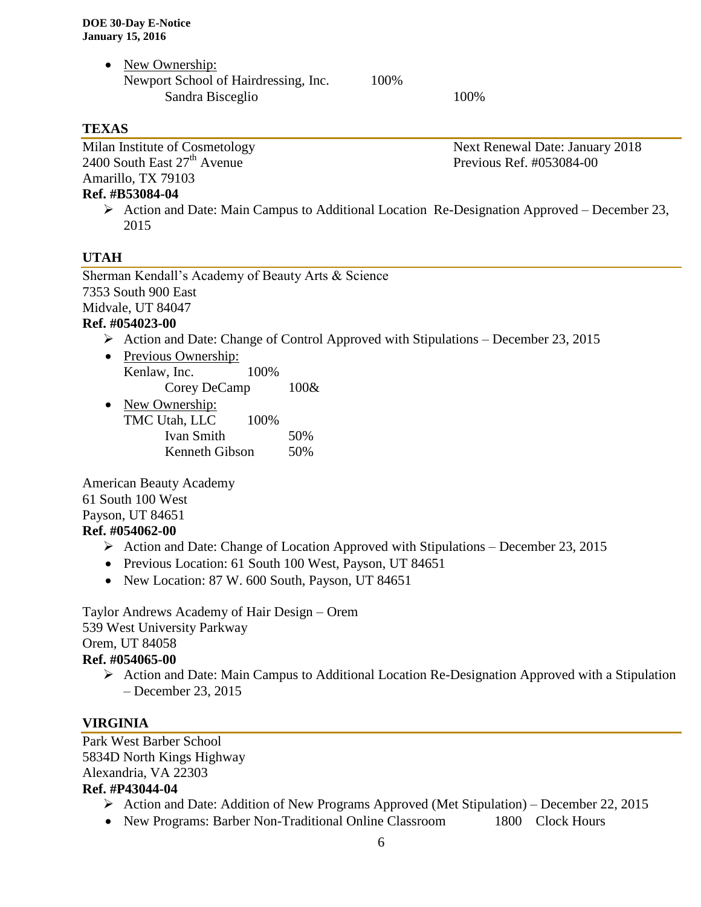• New Ownership: Newport School of Hairdressing, Inc. 100% Sandra Bisceglio 100%

## **TEXAS**

Milan Institute of Cosmetology Next Renewal Date: January 2018  $2400$  South East  $27<sup>th</sup>$  Avenue Previous Ref. #053084-00 Amarillo, TX 79103

#### **Ref. #B53084-04**

Action and Date: Main Campus to Additional Location Re-Designation Approved – December 23, 2015

## **UTAH**

Sherman Kendall's Academy of Beauty Arts & Science 7353 South 900 East Midvale, UT 84047

### **Ref. #054023-00**

- $\triangleright$  Action and Date: Change of Control Approved with Stipulations December 23, 2015
- Previous Ownership: Kenlaw, Inc. 100% Corey DeCamp 100&

• New Ownership: TMC Utah, LLC 100%

| Ivan Smith     | 50% |
|----------------|-----|
| Kenneth Gibson | 50% |

American Beauty Academy 61 South 100 West Payson, UT 84651 **Ref. #054062-00**

- $\triangleright$  Action and Date: Change of Location Approved with Stipulations December 23, 2015
- Previous Location: 61 South 100 West, Payson, UT 84651
- New Location: 87 W. 600 South, Payson, UT 84651

Taylor Andrews Academy of Hair Design – Orem 539 West University Parkway Orem, UT 84058

#### **Ref. #054065-00**

 $\triangleright$  Action and Date: Main Campus to Additional Location Re-Designation Approved with a Stipulation – December 23, 2015

## **VIRGINIA**

Park West Barber School 5834D North Kings Highway Alexandria, VA 22303 **Ref. #P43044-04**

- $\triangleright$  Action and Date: Addition of New Programs Approved (Met Stipulation) December 22, 2015
- New Programs: Barber Non-Traditional Online Classroom 1800 Clock Hours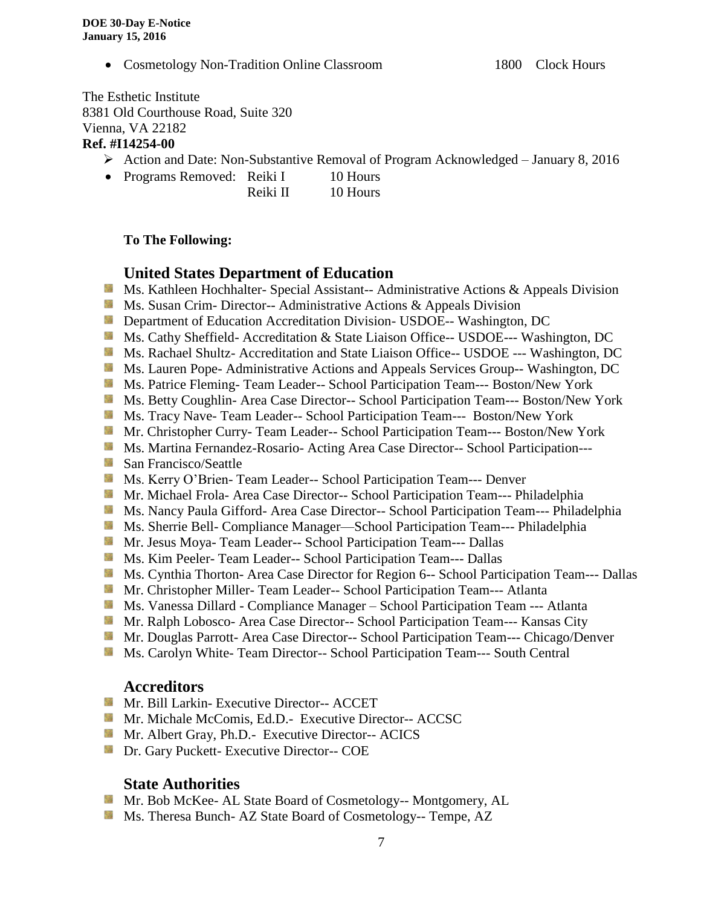• Cosmetology Non-Tradition Online Classroom 1800 Clock Hours

The Esthetic Institute 8381 Old Courthouse Road, Suite 320 Vienna, VA 22182 **Ref. #I14254-00**

- Action and Date: Non-Substantive Removal of Program Acknowledged January 8, 2016
- Programs Removed: Reiki I 10 Hours Reiki II 10 Hours
	- **To The Following:**

## **United States Department of Education**

- **Ms. Kathleen Hochhalter- Special Assistant-- Administrative Actions & Appeals Division**
- **MS.** Susan Crim-Director-- Administrative Actions & Appeals Division
- **External Department of Education Accreditation Division- USDOE-- Washington, DC**
- Ms. Cathy Sheffield- Accreditation & State Liaison Office-- USDOE--- Washington, DC
- Ms. Rachael Shultz- Accreditation and State Liaison Office-- USDOE --- Washington, DC
- Ms. Lauren Pope- Administrative Actions and Appeals Services Group-- Washington, DC
- **MS. Patrice Fleming- Team Leader-- School Participation Team--- Boston/New York**
- Ms. Betty Coughlin- Area Case Director-- School Participation Team--- Boston/New York
- Ms. Tracy Nave-Team Leader-- School Participation Team--- Boston/New York
- Mr. Christopher Curry- Team Leader-- School Participation Team--- Boston/New York
- Ms. Martina Fernandez-Rosario- Acting Area Case Director-- School Participation---
- San Francisco/Seattle
- **MS. Kerry O'Brien- Team Leader-- School Participation Team--- Denver**
- Mr. Michael Frola- Area Case Director-- School Participation Team--- Philadelphia
- Ms. Nancy Paula Gifford- Area Case Director-- School Participation Team--- Philadelphia
- Ms. Sherrie Bell- Compliance Manager—School Participation Team--- Philadelphia
- **Mr. Jesus Moya- Team Leader-- School Participation Team--- Dallas**
- **Ms. Kim Peeler- Team Leader-- School Participation Team--- Dallas**
- Ms. Cynthia Thorton- Area Case Director for Region 6-- School Participation Team--- Dallas
- **Mr. Christopher Miller-Team Leader-- School Participation Team--- Atlanta**
- **Ms. Vanessa Dillard Compliance Manager School Participation Team --- Atlanta**
- Mr. Ralph Lobosco- Area Case Director-- School Participation Team--- Kansas City
- **Mr. Douglas Parrott- Area Case Director-- School Participation Team--- Chicago/Denver**
- Ms. Carolyn White-Team Director-- School Participation Team--- South Central

#### **Accreditors**

- Mr. Bill Larkin- Executive Director-- ACCET
- **Mr. Michale McComis, Ed.D.- Executive Director-- ACCSC**
- **Mr.** Albert Gray, Ph.D.- Executive Director-- ACICS
- **Dr.** Gary Puckett- Executive Director-- COE

## **State Authorities**

- Mr. Bob McKee- AL State Board of Cosmetology-- Montgomery, AL
- Ms. Theresa Bunch- AZ State Board of Cosmetology-- Tempe, AZ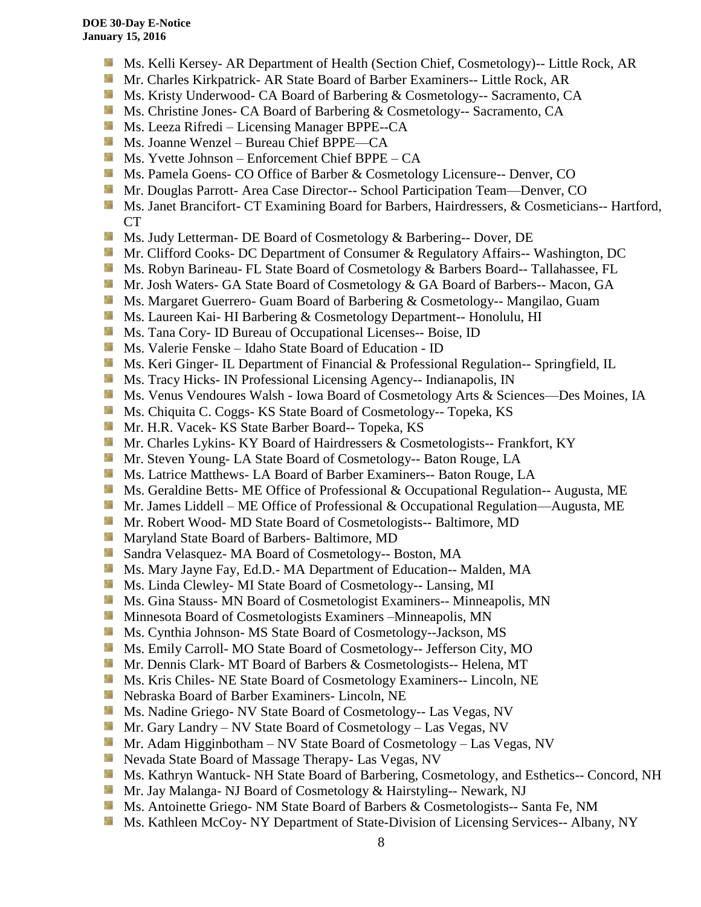- Ms. Kelli Kersey- AR Department of Health (Section Chief, Cosmetology)-- Little Rock, AR
- Mr. Charles Kirkpatrick- AR State Board of Barber Examiners-- Little Rock, AR
- Ms. Kristy Underwood- CA Board of Barbering & Cosmetology-- Sacramento, CA
- **Ms.** Christine Jones- CA Board of Barbering & Cosmetology-- Sacramento, CA
- **Ms. Leeza Rifredi** Licensing Manager BPPE--CA
- Ms. Joanne Wenzel Bureau Chief BPPE—CA
- $M_s$ . Yvette Johnson Enforcement Chief BPPE CA
- **Ms. Pamela Goens- CO Office of Barber & Cosmetology Licensure-- Denver, CO**
- Mr. Douglas Parrott- Area Case Director-- School Participation Team—Denver, CO
- **Ms. Janet Brancifort- CT Examining Board for Barbers, Hairdressers, & Cosmeticians-- Hartford,** CT
- Sila Ms. Judy Letterman- DE Board of Cosmetology & Barbering-- Dover, DE
- Mr. Clifford Cooks- DC Department of Consumer & Regulatory Affairs-- Washington, DC
- Ms. Robyn Barineau- FL State Board of Cosmetology & Barbers Board-- Tallahassee, FL
- Mr. Josh Waters- GA State Board of Cosmetology & GA Board of Barbers-- Macon, GA
- **MS. Margaret Guerrero- Guam Board of Barbering & Cosmetology-- Mangilao, Guam**
- **Ms. Laureen Kai- HI Barbering & Cosmetology Department-- Honolulu, HI**
- **Ms.** Tana Cory- ID Bureau of Occupational Licenses-- Boise, ID
- Ms. Valerie Fenske Idaho State Board of Education ID
- Ms. Keri Ginger- IL Department of Financial & Professional Regulation-- Springfield, IL
- **MS.** Tracy Hicks- IN Professional Licensing Agency-- Indianapolis, IN
- Ms. Venus Vendoures Walsh Iowa Board of Cosmetology Arts & Sciences—Des Moines, IA
- Ms. Chiquita C. Coggs- KS State Board of Cosmetology-- Topeka, KS
- Mr. H.R. Vacek- KS State Barber Board-- Topeka, KS
- 59 Mr. Charles Lykins- KY Board of Hairdressers & Cosmetologists-- Frankfort, KY
- **Mr. Steven Young- LA State Board of Cosmetology-- Baton Rouge, LA**
- **MS.** Latrice Matthews- LA Board of Barber Examiners-- Baton Rouge, LA
- Ms. Geraldine Betts- ME Office of Professional & Occupational Regulation-- Augusta, ME
- Mr. James Liddell ME Office of Professional & Occupational Regulation—Augusta, ME
- Mr. Robert Wood- MD State Board of Cosmetologists-- Baltimore, MD
- **Maryland State Board of Barbers- Baltimore, MD**
- Sandra Velasquez- MA Board of Cosmetology-- Boston, MA
- Ms. Mary Jayne Fay, Ed.D.- MA Department of Education-- Malden, MA
- Ms. Linda Clewley- MI State Board of Cosmetology-- Lansing, MI
- **MS.** Gina Stauss- MN Board of Cosmetologist Examiners-- Minneapolis, MN
- Minnesota Board of Cosmetologists Examiners Minneapolis, MN
- **Ms.** Cynthia Johnson- MS State Board of Cosmetology--Jackson, MS
- Ms. Emily Carroll- MO State Board of Cosmetology-- Jefferson City, MO
- Mr. Dennis Clark- MT Board of Barbers & Cosmetologists-- Helena, MT
- Ms. Kris Chiles- NE State Board of Cosmetology Examiners-- Lincoln, NE
- Nebraska Board of Barber Examiners- Lincoln, NE
- Ms. Nadine Griego- NV State Board of Cosmetology-- Las Vegas, NV
- Mr. Gary Landry NV State Board of Cosmetology Las Vegas, NV
- **Mr.** Adam Higginbotham NV State Board of Cosmetology Las Vegas, NV
- **Nevada State Board of Massage Therapy- Las Vegas, NV**
- Ms. Kathryn Wantuck- NH State Board of Barbering, Cosmetology, and Esthetics-- Concord, NH
- Mr. Jay Malanga- NJ Board of Cosmetology & Hairstyling-- Newark, NJ
- Ms. Antoinette Griego- NM State Board of Barbers & Cosmetologists-- Santa Fe, NM
- Ms. Kathleen McCoy- NY Department of State-Division of Licensing Services-- Albany, NY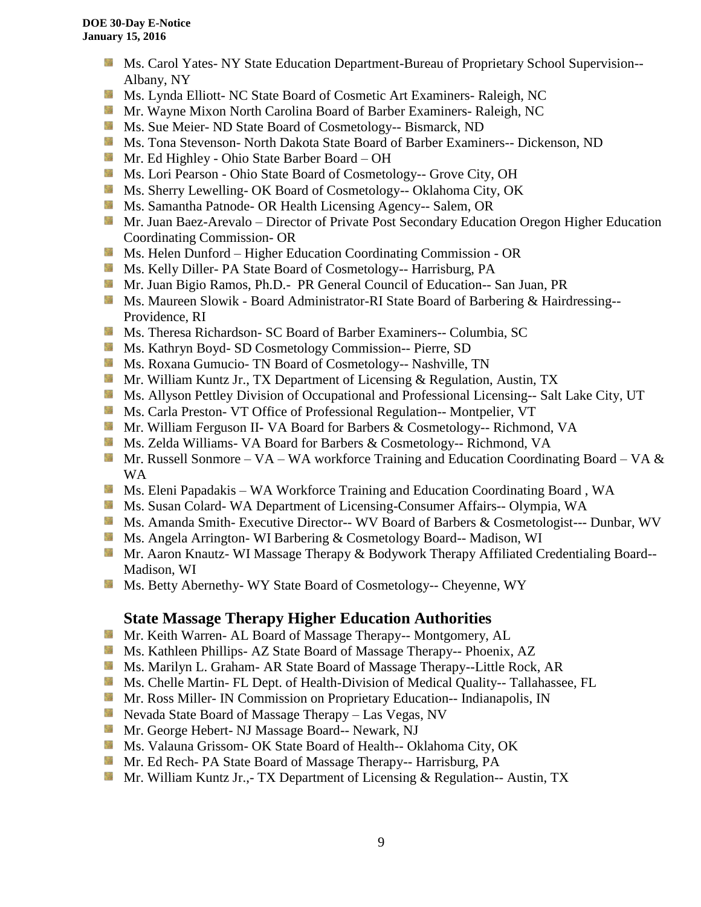- **Ms. Carol Yates- NY State Education Department-Bureau of Proprietary School Supervision--**Albany, NY
- **Ms. Lynda Elliott- NC State Board of Cosmetic Art Examiners- Raleigh, NC**
- **Mr. Wayne Mixon North Carolina Board of Barber Examiners- Raleigh, NC**
- Ms. Sue Meier- ND State Board of Cosmetology-- Bismarck, ND
- **Ms. Tona Stevenson- North Dakota State Board of Barber Examiners-- Dickenson, ND**
- Mr. Ed Highley Ohio State Barber Board OH
- Ms. Lori Pearson Ohio State Board of Cosmetology-- Grove City, OH
- **Ms. Sherry Lewelling- OK Board of Cosmetology-- Oklahoma City, OK**
- **MS.** Samantha Patnode- OR Health Licensing Agency-- Salem, OR
- **Mr.** Juan Baez-Arevalo Director of Private Post Secondary Education Oregon Higher Education Coordinating Commission- OR
- **MS. Helen Dunford Higher Education Coordinating Commission OR**
- **Ms. Kelly Diller- PA State Board of Cosmetology-- Harrisburg, PA**
- **Mr. Juan Bigio Ramos, Ph.D.- PR General Council of Education-- San Juan, PR**
- **Ms. Maureen Slowik Board Administrator-RI State Board of Barbering & Hairdressing--**Providence, RI
- **Ms.** Theresa Richardson- SC Board of Barber Examiners-- Columbia, SC
- Ms. Kathryn Boyd- SD Cosmetology Commission-- Pierre, SD
- Ms. Roxana Gumucio- TN Board of Cosmetology-- Nashville, TN
- Mr. William Kuntz Jr., TX Department of Licensing & Regulation, Austin, TX
- **Ms.** Allyson Pettley Division of Occupational and Professional Licensing-- Salt Lake City, UT
- Ms. Carla Preston- VT Office of Professional Regulation-- Montpelier, VT
- Mr. William Ferguson II- VA Board for Barbers & Cosmetology-- Richmond, VA
- **Ms. Zelda Williams- VA Board for Barbers & Cosmetology-- Richmond, VA**
- Mr. Russell Sonmore VA WA workforce Training and Education Coordinating Board VA  $\&$ WA
- Ms. Eleni Papadakis WA Workforce Training and Education Coordinating Board, WA
- **Ms. Susan Colard- WA Department of Licensing-Consumer Affairs-- Olympia, WA**
- Ms. Amanda Smith- Executive Director-- WV Board of Barbers & Cosmetologist--- Dunbar, WV
- Ms. Angela Arrington- WI Barbering & Cosmetology Board-- Madison, WI
- Mr. Aaron Knautz- WI Massage Therapy & Bodywork Therapy Affiliated Credentialing Board--Madison, WI
- Ms. Betty Abernethy- WY State Board of Cosmetology-- Cheyenne, WY

## **State Massage Therapy Higher Education Authorities**

- **Mr. Keith Warren- AL Board of Massage Therapy-- Montgomery, AL**
- Ms. Kathleen Phillips- AZ State Board of Massage Therapy-- Phoenix, AZ
- **M.** Ms. Marilyn L. Graham- AR State Board of Massage Therapy--Little Rock, AR
- **Ms. Chelle Martin- FL Dept. of Health-Division of Medical Quality-- Tallahassee, FL**
- **Mr. Ross Miller- IN Commission on Proprietary Education-- Indianapolis, IN**
- Nevada State Board of Massage Therapy Las Vegas, NV
- Mr. George Hebert- NJ Massage Board-- Newark, NJ
- Ms. Valauna Grissom- OK State Board of Health-- Oklahoma City, OK
- Mr. Ed Rech- PA State Board of Massage Therapy-- Harrisburg, PA
- **Mr.** William Kuntz Jr.,- TX Department of Licensing & Regulation-- Austin, TX